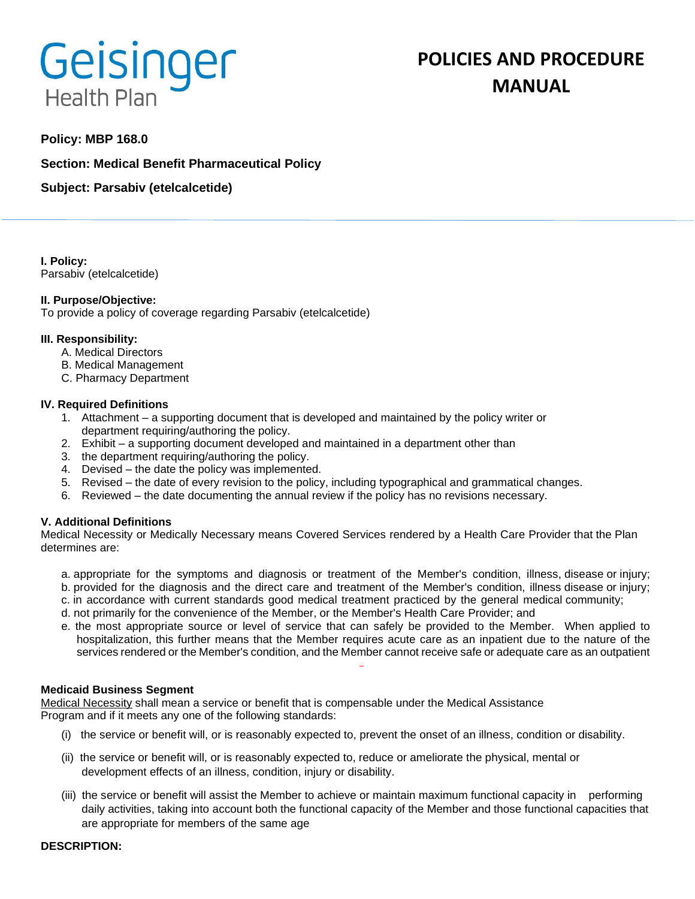# Geisinger **Health Plan**

# **POLICIES AND PROCEDURE MANUAL**

# **Policy: MBP 168.0**

**Section: Medical Benefit Pharmaceutical Policy**

**Subject: Parsabiv (etelcalcetide)**

**I. Policy:** Parsabiv (etelcalcetide)

### **II. Purpose/Objective:**

To provide a policy of coverage regarding Parsabiv (etelcalcetide)

### **III. Responsibility:**

- A. Medical Directors
- B. Medical Management
- C. Pharmacy Department

#### **IV. Required Definitions**

- 1. Attachment a supporting document that is developed and maintained by the policy writer or department requiring/authoring the policy.
- 2. Exhibit a supporting document developed and maintained in a department other than
- 3. the department requiring/authoring the policy.
- 4. Devised the date the policy was implemented.
- 5. Revised the date of every revision to the policy, including typographical and grammatical changes.
- 6. Reviewed the date documenting the annual review if the policy has no revisions necessary.

## **V. Additional Definitions**

Medical Necessity or Medically Necessary means Covered Services rendered by a Health Care Provider that the Plan determines are:

- a. appropriate for the symptoms and diagnosis or treatment of the Member's condition, illness, disease or injury; b. provided for the diagnosis and the direct care and treatment of the Member's condition, illness disease or injury;
- c. in accordance with current standards good medical treatment practiced by the general medical community;
- d. not primarily for the convenience of the Member, or the Member's Health Care Provider; and
- e. the most appropriate source or level of service that can safely be provided to the Member. When applied to hospitalization, this further means that the Member requires acute care as an inpatient due to the nature of the services rendered or the Member's condition, and the Member cannot receive safe or adequate care as an outpatient

#### **Medicaid Business Segment**

Medical Necessity shall mean a service or benefit that is compensable under the Medical Assistance Program and if it meets any one of the following standards:

- (i) the service or benefit will, or is reasonably expected to, prevent the onset of an illness, condition or disability.
- (ii) the service or benefit will, or is reasonably expected to, reduce or ameliorate the physical, mental or development effects of an illness, condition, injury or disability.
- (iii) the service or benefit will assist the Member to achieve or maintain maximum functional capacity in performing daily activities, taking into account both the functional capacity of the Member and those functional capacities that are appropriate for members of the same age

#### **DESCRIPTION:**